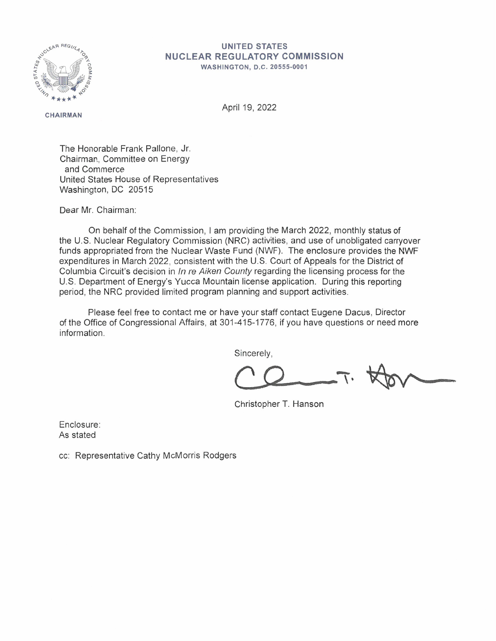

## **UNITED STATES NUCLEAR REGULATORY COMMISSION**

**WASHINGTON, D.C . 20555-0001** 

**CHAIRMAN** 

April 19, 2022

The Honorable Frank Pallone, Jr. Chairman, Committee on Energy and Commerce United States House of Representatives Washington, DC 20515

Dear Mr. Chairman:

On behalf of the Commission, I am providing the March 2022, monthly status of the U.S. Nuclear Regulatory Commission (NRC) activities, and use of unobligated carryover funds appropriated from the Nuclear Waste Fund (NWF). The enclosure provides the NWF expenditures in March 2022, consistent with the U.S. Court of Appeals for the District of Columbia Circuit's decision in In re Aiken County regarding the licensing process for the U.S. Department of Energy's Yucca Mountain license application. During this reporting period, the NRC provided limited program planning and support activities.

Please feel free to contact me or have your staff contact Eugene Dacus, Director of the Office of Congressional Affairs, at 301-415-1776, if you have questions or need more information.

Sincerely,

Christopher T. Hanson

Enclosure: As stated

cc: Representative Cathy McMorris Rodgers